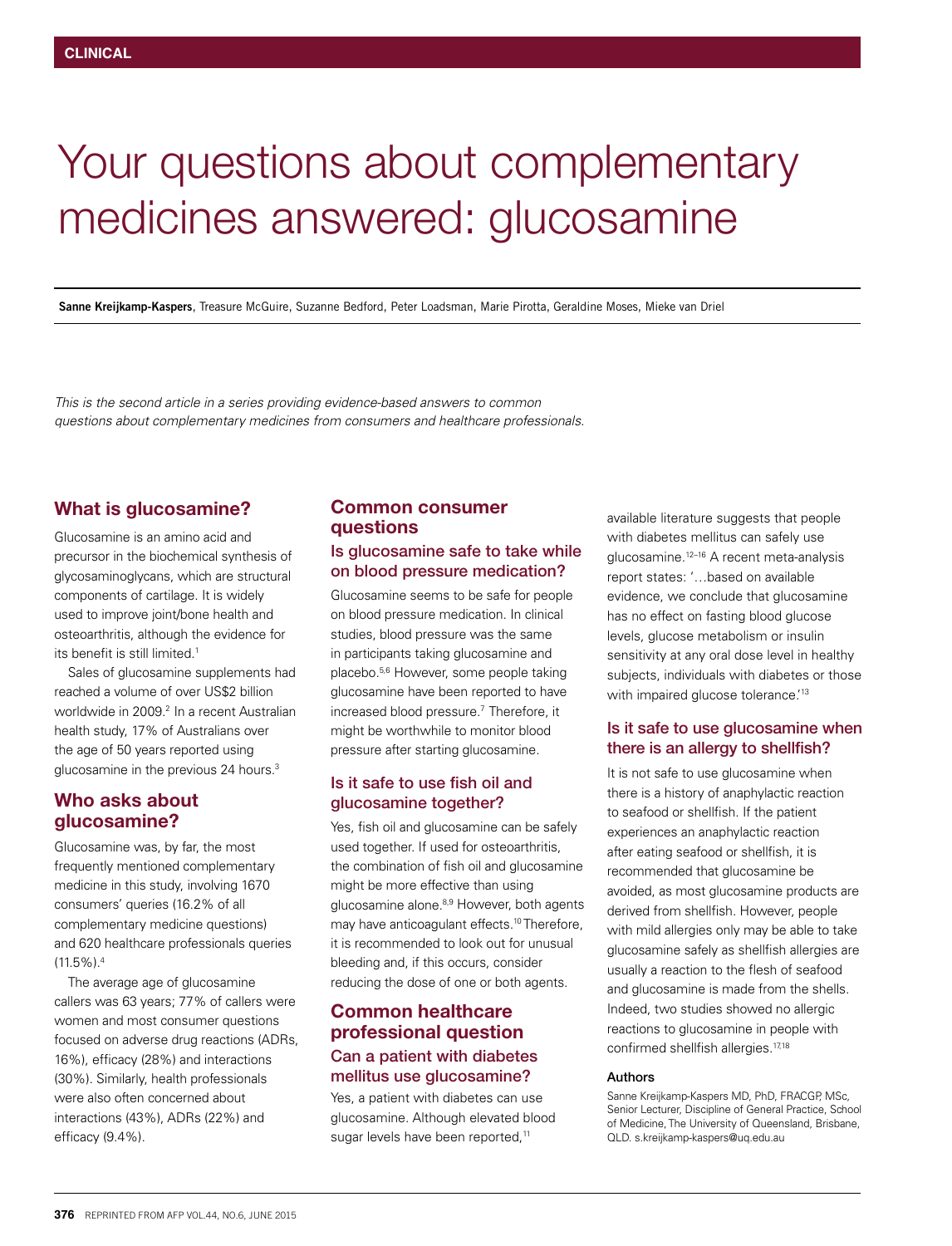# Your questions about complementary medicines answered: glucosamine

**Sanne Kreijkamp-Kaspers**, Treasure McGuire, Suzanne Bedford, Peter Loadsman, Marie Pirotta, Geraldine Moses, Mieke van Driel

*This is the second article in a series providing evidence-based answers to common questions about complementary medicines from consumers and healthcare professionals.*

## What is glucosamine?

Glucosamine is an amino acid and precursor in the biochemical synthesis of glycosaminoglycans, which are structural components of cartilage. It is widely used to improve joint/bone health and osteoarthritis, although the evidence for its benefit is still limited.<sup>1</sup>

Sales of glucosamine supplements had reached a volume of over US\$2 billion worldwide in 2009.<sup>2</sup> In a recent Australian health study, 17% of Australians over the age of 50 years reported using glucosamine in the previous 24 hours.<sup>3</sup>

## Who asks about glucosamine?

Glucosamine was, by far, the most frequently mentioned complementary medicine in this study, involving 1670 consumers' queries (16.2% of all complementary medicine questions) and 620 healthcare professionals queries  $(11.5\%)$ .<sup>4</sup>

The average age of glucosamine callers was 63 years; 77% of callers were women and most consumer questions focused on adverse drug reactions (ADRs, 16%), efficacy (28%) and interactions (30%). Similarly, health professionals were also often concerned about interactions (43%), ADRs (22%) and efficacy (9.4%).

## Common consumer questions

## Is glucosamine safe to take while on blood pressure medication?

Glucosamine seems to be safe for people on blood pressure medication. In clinical studies, blood pressure was the same in participants taking glucosamine and placebo.5,6 However, some people taking glucosamine have been reported to have increased blood pressure.<sup>7</sup> Therefore, it might be worthwhile to monitor blood pressure after starting glucosamine.

#### Is it safe to use fish oil and glucosamine together?

Yes, fish oil and glucosamine can be safely used together. If used for osteoarthritis, the combination of fish oil and glucosamine might be more effective than using glucosamine alone.<sup>8,9</sup> However, both agents may have anticoagulant effects.10 Therefore, it is recommended to look out for unusual bleeding and, if this occurs, consider reducing the dose of one or both agents.

## Common healthcare professional question Can a patient with diabetes mellitus use glucosamine?

Yes, a patient with diabetes can use glucosamine. Although elevated blood sugar levels have been reported,<sup>11</sup>

available literature suggests that people with diabetes mellitus can safely use glucosamine.12–16 A recent meta-analysis report states: '…based on available evidence, we conclude that glucosamine has no effect on fasting blood glucose levels, glucose metabolism or insulin sensitivity at any oral dose level in healthy subjects, individuals with diabetes or those with impaired glucose tolerance.<sup>'13</sup>

#### Is it safe to use glucosamine when there is an allergy to shellfish?

It is not safe to use glucosamine when there is a history of anaphylactic reaction to seafood or shellfish. If the patient experiences an anaphylactic reaction after eating seafood or shellfish, it is recommended that glucosamine be avoided, as most glucosamine products are derived from shellfish. However, people with mild allergies only may be able to take glucosamine safely as shellfish allergies are usually a reaction to the flesh of seafood and glucosamine is made from the shells. Indeed, two studies showed no allergic reactions to glucosamine in people with confirmed shellfish allergies.<sup>17,18</sup>

#### Authors

Sanne Kreijkamp-Kaspers MD, PhD, FRACGP, MSc, Senior Lecturer, Discipline of General Practice, School of Medicine, The University of Queensland, Brisbane, QLD. s.kreijkamp-kaspers@uq.edu.au